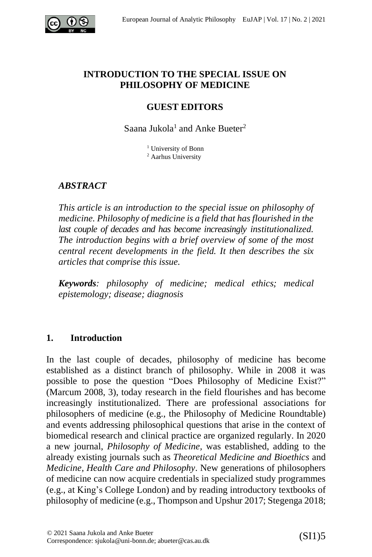

### **INTRODUCTION TO THE SPECIAL ISSUE ON PHILOSOPHY OF MEDICINE**

## **GUEST EDITORS**

Saana Jukola<sup>1</sup> and Anke Bueter<sup>2</sup>

<sup>1</sup> University of Bonn <sup>2</sup> Aarhus University

# *ABSTRACT*

*This article is an introduction to the special issue on philosophy of medicine. Philosophy of medicine is a field that has flourished in the last couple of decades and has become increasingly institutionalized. The introduction begins with a brief overview of some of the most central recent developments in the field. It then describes the six articles that comprise this issue.*

*Keywords: philosophy of medicine; medical ethics; medical epistemology; disease; diagnosis*

## **1. Introduction**

In the last couple of decades, philosophy of medicine has become established as a distinct branch of philosophy. While in 2008 it was possible to pose the question "Does Philosophy of Medicine Exist?" (Marcum 2008, 3), today research in the field flourishes and has become increasingly institutionalized. There are professional associations for philosophers of medicine (e.g., the Philosophy of Medicine Roundtable) and events addressing philosophical questions that arise in the context of biomedical research and clinical practice are organized regularly. In 2020 a new journal, *Philosophy of Medicine,* was established, adding to the already existing journals such as *Theoretical Medicine and Bioethics* and *Medicine, Health Care and Philosophy*. New generations of philosophers of medicine can now acquire credentials in specialized study programmes (e.g., at King's College London) and by reading introductory textbooks of philosophy of medicine (e.g., Thompson and Upshur 2017; Stegenga 2018;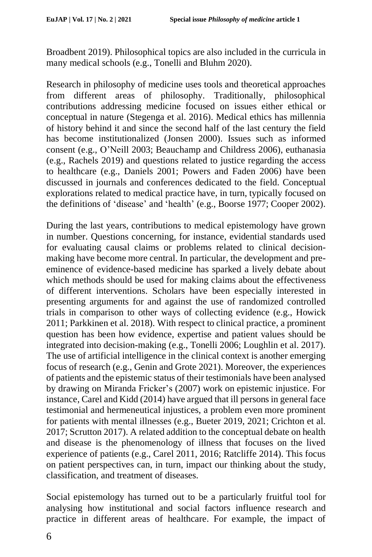Broadbent 2019). Philosophical topics are also included in the curricula in many medical schools (e.g., Tonelli and Bluhm 2020).

Research in philosophy of medicine uses tools and theoretical approaches from different areas of philosophy. Traditionally, philosophical contributions addressing medicine focused on issues either ethical or conceptual in nature (Stegenga et al. 2016). Medical ethics has millennia of history behind it and since the second half of the last century the field has become institutionalized (Jonsen 2000). Issues such as informed consent (e.g., O'Neill 2003; Beauchamp and Childress 2006), euthanasia (e.g., Rachels 2019) and questions related to justice regarding the access to healthcare (e.g., Daniels 2001; Powers and Faden 2006) have been discussed in journals and conferences dedicated to the field. Conceptual explorations related to medical practice have, in turn, typically focused on the definitions of 'disease' and 'health' (e.g., Boorse 1977; Cooper 2002).

During the last years, contributions to medical epistemology have grown in number. Questions concerning, for instance, evidential standards used for evaluating causal claims or problems related to clinical decisionmaking have become more central. In particular, the development and preeminence of evidence-based medicine has sparked a lively debate about which methods should be used for making claims about the effectiveness of different interventions. Scholars have been especially interested in presenting arguments for and against the use of randomized controlled trials in comparison to other ways of collecting evidence (e.g., Howick 2011; Parkkinen et al. 2018). With respect to clinical practice, a prominent question has been how evidence, expertise and patient values should be integrated into decision-making (e.g., Tonelli 2006; Loughlin et al. 2017). The use of artificial intelligence in the clinical context is another emerging focus of research (e.g., Genin and Grote 2021). Moreover, the experiences of patients and the epistemic status of their testimonials have been analysed by drawing on Miranda Fricker's (2007) work on epistemic injustice. For instance, Carel and Kidd (2014) have argued that ill persons in general face testimonial and hermeneutical injustices, a problem even more prominent for patients with mental illnesses (e.g., Bueter 2019, 2021; Crichton et al. 2017; Scrutton 2017). A related addition to the conceptual debate on health and disease is the phenomenology of illness that focuses on the lived experience of patients (e.g., Carel 2011, 2016; Ratcliffe 2014). This focus on patient perspectives can, in turn, impact our thinking about the study, classification, and treatment of diseases.

Social epistemology has turned out to be a particularly fruitful tool for analysing how institutional and social factors influence research and practice in different areas of healthcare. For example, the impact of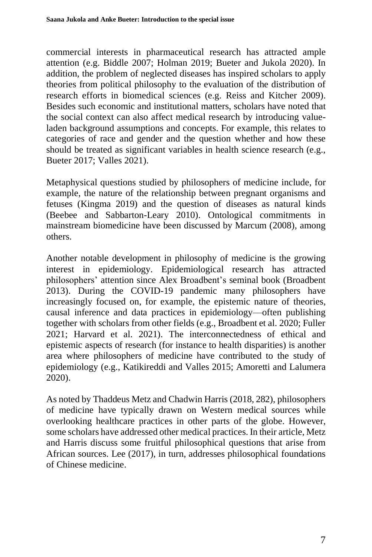commercial interests in pharmaceutical research has attracted ample attention (e.g. Biddle 2007; Holman 2019; Bueter and Jukola 2020). In addition, the problem of neglected diseases has inspired scholars to apply theories from political philosophy to the evaluation of the distribution of research efforts in biomedical sciences (e.g. Reiss and Kitcher 2009). Besides such economic and institutional matters, scholars have noted that the social context can also affect medical research by introducing valueladen background assumptions and concepts. For example, this relates to categories of race and gender and the question whether and how these should be treated as significant variables in health science research (e.g., Bueter 2017; Valles 2021).

Metaphysical questions studied by philosophers of medicine include, for example, the nature of the relationship between pregnant organisms and fetuses (Kingma 2019) and the question of diseases as natural kinds (Beebee and Sabbarton-Leary 2010). Ontological commitments in mainstream biomedicine have been discussed by Marcum (2008), among others.

Another notable development in philosophy of medicine is the growing interest in epidemiology. Epidemiological research has attracted philosophers' attention since Alex Broadbent's seminal book (Broadbent 2013). During the COVID-19 pandemic many philosophers have increasingly focused on, for example, the epistemic nature of theories, causal inference and data practices in epidemiology––often publishing together with scholars from other fields (e.g., Broadbent et al. 2020; Fuller 2021; Harvard et al. 2021). The interconnectedness of ethical and epistemic aspects of research (for instance to health disparities) is another area where philosophers of medicine have contributed to the study of epidemiology (e.g., Katikireddi and Valles 2015; Amoretti and Lalumera 2020).

As noted by Thaddeus Metz and Chadwin Harris (2018, 282), philosophers of medicine have typically drawn on Western medical sources while overlooking healthcare practices in other parts of the globe. However, some scholars have addressed other medical practices. In their article, Metz and Harris discuss some fruitful philosophical questions that arise from African sources. Lee (2017), in turn, addresses philosophical foundations of Chinese medicine.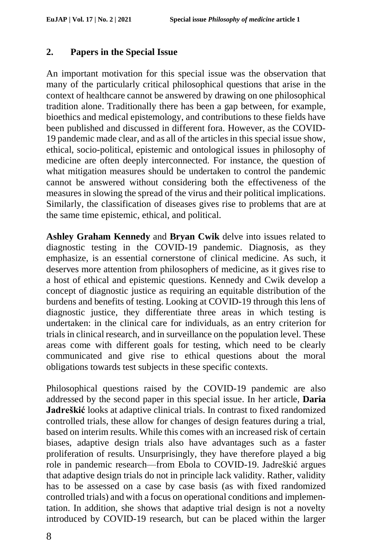### **2. Papers in the Special Issue**

An important motivation for this special issue was the observation that many of the particularly critical philosophical questions that arise in the context of healthcare cannot be answered by drawing on one philosophical tradition alone. Traditionally there has been a gap between, for example, bioethics and medical epistemology, and contributions to these fields have been published and discussed in different fora. However, as the COVID-19 pandemic made clear, and as all of the articles in this special issue show, ethical, socio-political, epistemic and ontological issues in philosophy of medicine are often deeply interconnected. For instance, the question of what mitigation measures should be undertaken to control the pandemic cannot be answered without considering both the effectiveness of the measures in slowing the spread of the virus and their political implications. Similarly, the classification of diseases gives rise to problems that are at the same time epistemic, ethical, and political.

**Ashley Graham Kennedy** and **Bryan Cwik** delve into issues related to diagnostic testing in the COVID-19 pandemic. Diagnosis, as they emphasize, is an essential cornerstone of clinical medicine. As such, it deserves more attention from philosophers of medicine, as it gives rise to a host of ethical and epistemic questions. Kennedy and Cwik develop a concept of diagnostic justice as requiring an equitable distribution of the burdens and benefits of testing. Looking at COVID-19 through this lens of diagnostic justice, they differentiate three areas in which testing is undertaken: in the clinical care for individuals, as an entry criterion for trials in clinical research, and in surveillance on the population level. These areas come with different goals for testing, which need to be clearly communicated and give rise to ethical questions about the moral obligations towards test subjects in these specific contexts.

Philosophical questions raised by the COVID-19 pandemic are also addressed by the second paper in this special issue. In her article, **Daria Jadreškić** looks at adaptive clinical trials. In contrast to fixed randomized controlled trials, these allow for changes of design features during a trial, based on interim results. While this comes with an increased risk of certain biases, adaptive design trials also have advantages such as a faster proliferation of results. Unsurprisingly, they have therefore played a big role in pandemic research––from Ebola to COVID-19. Jadreškić argues that adaptive design trials do not in principle lack validity. Rather, validity has to be assessed on a case by case basis (as with fixed randomized controlled trials) and with a focus on operational conditions and implementation. In addition, she shows that adaptive trial design is not a novelty introduced by COVID-19 research, but can be placed within the larger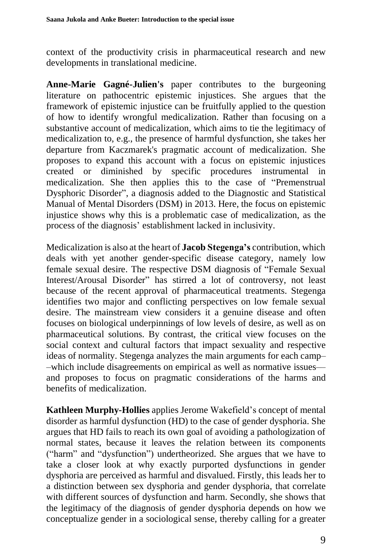context of the productivity crisis in pharmaceutical research and new developments in translational medicine.

**Anne-Marie Gagné-Julien's** paper contributes to the burgeoning literature on pathocentric epistemic injustices. She argues that the framework of epistemic injustice can be fruitfully applied to the question of how to identify wrongful medicalization. Rather than focusing on a substantive account of medicalization, which aims to tie the legitimacy of medicalization to, e.g., the presence of harmful dysfunction, she takes her departure from Kaczmarek's pragmatic account of medicalization. She proposes to expand this account with a focus on epistemic injustices created or diminished by specific procedures instrumental in medicalization. She then applies this to the case of "Premenstrual Dysphoric Disorder", a diagnosis added to the Diagnostic and Statistical Manual of Mental Disorders (DSM) in 2013. Here, the focus on epistemic injustice shows why this is a problematic case of medicalization, as the process of the diagnosis' establishment lacked in inclusivity.

Medicalization is also at the heart of **Jacob Stegenga's** contribution, which deals with yet another gender-specific disease category, namely low female sexual desire. The respective DSM diagnosis of "Female Sexual Interest/Arousal Disorder" has stirred a lot of controversy, not least because of the recent approval of pharmaceutical treatments. Stegenga identifies two major and conflicting perspectives on low female sexual desire. The mainstream view considers it a genuine disease and often focuses on biological underpinnings of low levels of desire, as well as on pharmaceutical solutions. By contrast, the critical view focuses on the social context and cultural factors that impact sexuality and respective ideas of normality. Stegenga analyzes the main arguments for each camp– –which include disagreements on empirical as well as normative issues–– and proposes to focus on pragmatic considerations of the harms and benefits of medicalization.

**Kathleen Murphy-Hollies** applies Jerome Wakefield's concept of mental disorder as harmful dysfunction (HD) to the case of gender dysphoria. She argues that HD fails to reach its own goal of avoiding a pathologization of normal states, because it leaves the relation between its components ("harm" and "dysfunction") undertheorized. She argues that we have to take a closer look at why exactly purported dysfunctions in gender dysphoria are perceived as harmful and disvalued. Firstly, this leads her to a distinction between sex dysphoria and gender dysphoria, that correlate with different sources of dysfunction and harm. Secondly, she shows that the legitimacy of the diagnosis of gender dysphoria depends on how we conceptualize gender in a sociological sense, thereby calling for a greater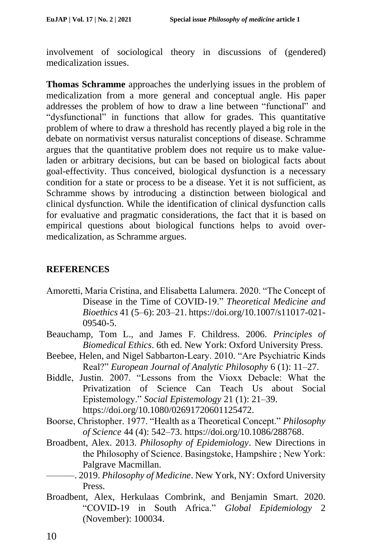involvement of sociological theory in discussions of (gendered) medicalization issues.

**Thomas Schramme** approaches the underlying issues in the problem of medicalization from a more general and conceptual angle. His paper addresses the problem of how to draw a line between "functional" and "dysfunctional" in functions that allow for grades. This quantitative problem of where to draw a threshold has recently played a big role in the debate on normativist versus naturalist conceptions of disease. Schramme argues that the quantitative problem does not require us to make valueladen or arbitrary decisions, but can be based on biological facts about goal-effectivity. Thus conceived, biological dysfunction is a necessary condition for a state or process to be a disease. Yet it is not sufficient, as Schramme shows by introducing a distinction between biological and clinical dysfunction. While the identification of clinical dysfunction calls for evaluative and pragmatic considerations, the fact that it is based on empirical questions about biological functions helps to avoid overmedicalization, as Schramme argues.

### **REFERENCES**

- Amoretti, Maria Cristina, and Elisabetta Lalumera. 2020. "The Concept of Disease in the Time of COVID-19." *Theoretical Medicine and Bioethics* 41 (5–6): 203–21. https://doi.org/10.1007/s11017-021- 09540-5.
- Beauchamp, Tom L., and James F. Childress. 2006. *Principles of Biomedical Ethics*. 6th ed. New York: Oxford University Press.
- Beebee, Helen, and Nigel Sabbarton-Leary. 2010. "Are Psychiatric Kinds Real?" *European Journal of Analytic Philosophy* 6 (1): 11–27.
- Biddle, Justin. 2007. "Lessons from the Vioxx Debacle: What the Privatization of Science Can Teach Us about Social Epistemology." *Social Epistemology* 21 (1): 21–39. https://doi.org/10.1080/02691720601125472.
- Boorse, Christopher. 1977. "Health as a Theoretical Concept." *Philosophy of Science* 44 (4): 542–73. https://doi.org/10.1086/288768.
- Broadbent, Alex. 2013. *Philosophy of Epidemiology*. New Directions in the Philosophy of Science. Basingstoke, Hampshire ; New York: Palgrave Macmillan.
- ———. 2019. *Philosophy of Medicine*. New York, NY: Oxford University Press.
- Broadbent, Alex, Herkulaas Combrink, and Benjamin Smart. 2020. "COVID-19 in South Africa." *Global Epidemiology* 2 (November): 100034.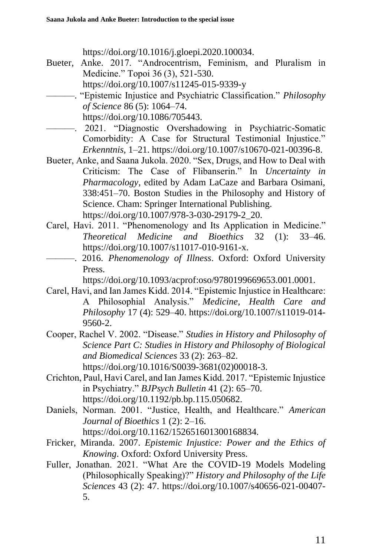https://doi.org/10.1016/j.gloepi.2020.100034.

- Bueter, Anke. 2017. "Androcentrism, Feminism, and Pluralism in Medicine." Topoi 36 (3), 521-530.
	- https://doi.org/10.1007/s11245-015-9339-y
	- ———. "Epistemic Injustice and Psychiatric Classification." *Philosophy of Science* 86 (5): 1064–74.

https://doi.org/10.1086/705443.

- ———. 2021. "Diagnostic Overshadowing in Psychiatric-Somatic Comorbidity: A Case for Structural Testimonial Injustice." *Erkenntnis*, 1–21. https://doi.org/10.1007/s10670-021-00396-8.
- Bueter, Anke, and Saana Jukola. 2020. "Sex, Drugs, and How to Deal with Criticism: The Case of Flibanserin." In *Uncertainty in Pharmacology*, edited by Adam LaCaze and Barbara Osimani, 338:451–70. Boston Studies in the Philosophy and History of Science. Cham: Springer International Publishing. https://doi.org/10.1007/978-3-030-29179-2\_20.
- Carel, Havi. 2011. "Phenomenology and Its Application in Medicine." *Theoretical Medicine and Bioethics* 32 (1): 33–46. https://doi.org/10.1007/s11017-010-9161-x.
- ———. 2016. *Phenomenology of Illness*. Oxford: Oxford University Press.

https://doi.org/10.1093/acprof:oso/9780199669653.001.0001.

- Carel, Havi, and Ian James Kidd. 2014. "Epistemic Injustice in Healthcare: A Philosophial Analysis." *Medicine, Health Care and Philosophy* 17 (4): 529–40. https://doi.org/10.1007/s11019-014- 9560-2.
- Cooper, Rachel V. 2002. "Disease." *Studies in History and Philosophy of Science Part C: Studies in History and Philosophy of Biological and Biomedical Sciences* 33 (2): 263–82. https://doi.org/10.1016/S0039-3681(02)00018-3.
- Crichton, Paul, Havi Carel, and Ian James Kidd. 2017. "Epistemic Injustice in Psychiatry." *BJPsych Bulletin* 41 (2): 65–70. https://doi.org/10.1192/pb.bp.115.050682.
- Daniels, Norman. 2001. "Justice, Health, and Healthcare." *American Journal of Bioethics* 1 (2): 2–16. https://doi.org/10.1162/152651601300168834.
- Fricker, Miranda. 2007. *Epistemic Injustice: Power and the Ethics of Knowing*. Oxford: Oxford University Press.
- Fuller, Jonathan. 2021. "What Are the COVID-19 Models Modeling (Philosophically Speaking)?" *History and Philosophy of the Life Sciences* 43 (2): 47. https://doi.org/10.1007/s40656-021-00407- 5.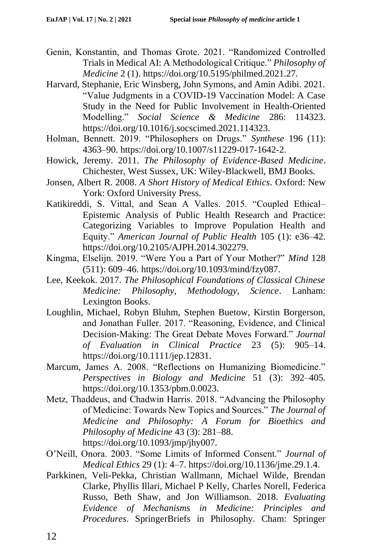- Genin, Konstantin, and Thomas Grote. 2021. "Randomized Controlled Trials in Medical AI: A Methodological Critique." *Philosophy of Medicine* 2 (1). https://doi.org/10.5195/philmed.2021.27.
- Harvard, Stephanie, Eric Winsberg, John Symons, and Amin Adibi. 2021. "Value Judgments in a COVID-19 Vaccination Model: A Case Study in the Need for Public Involvement in Health-Oriented Modelling." *Social Science & Medicine* 286: 114323. https://doi.org/10.1016/j.socscimed.2021.114323.
- Holman, Bennett. 2019. "Philosophers on Drugs." *Synthese* 196 (11): 4363–90. https://doi.org/10.1007/s11229-017-1642-2.
- Howick, Jeremy. 2011. *The Philosophy of Evidence-Based Medicine*. Chichester, West Sussex, UK: Wiley-Blackwell, BMJ Books.
- Jonsen, Albert R. 2008. *A Short History of Medical Ethics*. Oxford: New York: Oxford University Press.
- Katikireddi, S. Vittal, and Sean A Valles. 2015. "Coupled Ethical– Epistemic Analysis of Public Health Research and Practice: Categorizing Variables to Improve Population Health and Equity." *American Journal of Public Health* 105 (1): e36–42. https://doi.org/10.2105/AJPH.2014.302279.
- Kingma, Elselijn. 2019. "Were You a Part of Your Mother?" *Mind* 128 (511): 609–46. https://doi.org/10.1093/mind/fzy087.
- Lee, Keekok. 2017. *The Philosophical Foundations of Classical Chinese Medicine: Philosophy, Methodology, Science*. Lanham: Lexington Books.
- Loughlin, Michael, Robyn Bluhm, Stephen Buetow, Kirstin Borgerson, and Jonathan Fuller. 2017. "Reasoning, Evidence, and Clinical Decision-Making: The Great Debate Moves Forward." *Journal of Evaluation in Clinical Practice* 23 (5): 905–14. https://doi.org/10.1111/jep.12831.
- Marcum, James A. 2008. "Reflections on Humanizing Biomedicine." *Perspectives in Biology and Medicine* 51 (3): 392–405. https://doi.org/10.1353/pbm.0.0023.
- Metz, Thaddeus, and Chadwin Harris. 2018. "Advancing the Philosophy of Medicine: Towards New Topics and Sources." *The Journal of Medicine and Philosophy: A Forum for Bioethics and Philosophy of Medicine* 43 (3): 281–88. https://doi.org/10.1093/jmp/jhy007.
- O'Neill, Onora. 2003. "Some Limits of Informed Consent." *Journal of Medical Ethics* 29 (1): 4–7. https://doi.org/10.1136/jme.29.1.4.
- Parkkinen, Veli-Pekka, Christian Wallmann, Michael Wilde, Brendan Clarke, Phyllis Illari, Michael P Kelly, Charles Norell, Federica Russo, Beth Shaw, and Jon Williamson. 2018. *Evaluating Evidence of Mechanisms in Medicine: Principles and Procedures*. SpringerBriefs in Philosophy. Cham: Springer